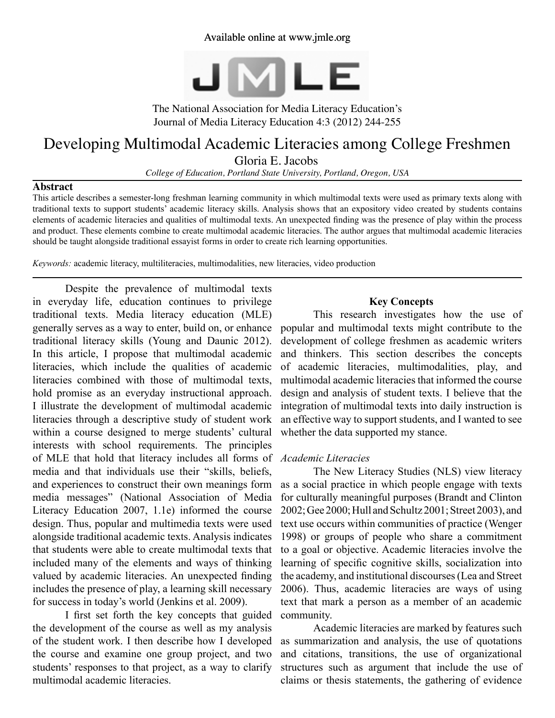# Available online at www.jmle.org



The National Association for Media Literacy Education's Journal of Media Literacy Education 4:3 (2012) 244-255

# Developing Multimodal Academic Literacies among College Freshmen

Gloria E. Jacobs

*College of Education, Portland State University, Portland, Oregon, USA*

#### **Abstract**

This article describes a semester-long freshman learning community in which multimodal texts were used as primary texts along with traditional texts to support students' academic literacy skills. Analysis shows that an expository video created by students contains elements of academic literacies and qualities of multimodal texts. An unexpected finding was the presence of play within the process and product. These elements combine to create multimodal academic literacies. The author argues that multimodal academic literacies should be taught alongside traditional essayist forms in order to create rich learning opportunities.

*Keywords:* academic literacy, multiliteracies, multimodalities, new literacies, video production

Despite the prevalence of multimodal texts in everyday life, education continues to privilege traditional texts. Media literacy education (MLE) generally serves as a way to enter, build on, or enhance traditional literacy skills (Young and Daunic 2012). In this article, I propose that multimodal academic literacies, which include the qualities of academic literacies combined with those of multimodal texts, hold promise as an everyday instructional approach. I illustrate the development of multimodal academic literacies through a descriptive study of student work within a course designed to merge students' cultural interests with school requirements. The principles of MLE that hold that literacy includes all forms of media and that individuals use their "skills, beliefs, and experiences to construct their own meanings form media messages" (National Association of Media Literacy Education 2007, 1.1e) informed the course design. Thus, popular and multimedia texts were used alongside traditional academic texts. Analysis indicates that students were able to create multimodal texts that included many of the elements and ways of thinking valued by academic literacies. An unexpected finding includes the presence of play, a learning skill necessary for success in today's world (Jenkins et al. 2009).

I first set forth the key concepts that guided the development of the course as well as my analysis of the student work. I then describe how I developed the course and examine one group project, and two students' responses to that project, as a way to clarify multimodal academic literacies.

# **Key Concepts**

This research investigates how the use of popular and multimodal texts might contribute to the development of college freshmen as academic writers and thinkers. This section describes the concepts of academic literacies, multimodalities, play, and multimodal academic literacies that informed the course design and analysis of student texts. I believe that the integration of multimodal texts into daily instruction is an effective way to support students, and I wanted to see whether the data supported my stance.

# *Academic Literacies*

The New Literacy Studies (NLS) view literacy as a social practice in which people engage with texts for culturally meaningful purposes (Brandt and Clinton 2002; Gee 2000; Hull and Schultz 2001; Street 2003), and text use occurs within communities of practice (Wenger 1998) or groups of people who share a commitment to a goal or objective. Academic literacies involve the learning of specific cognitive skills, socialization into the academy, and institutional discourses (Lea and Street 2006). Thus, academic literacies are ways of using text that mark a person as a member of an academic community.

Academic literacies are marked by features such as summarization and analysis, the use of quotations and citations, transitions, the use of organizational structures such as argument that include the use of claims or thesis statements, the gathering of evidence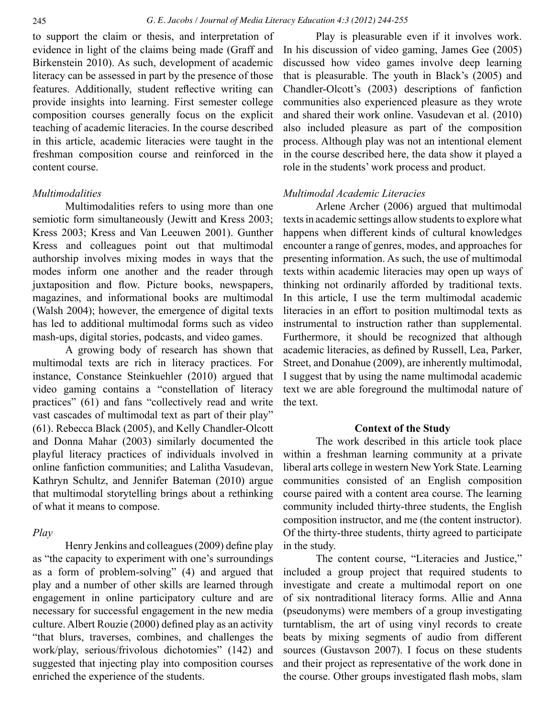to support the claim or thesis, and interpretation of evidence in light of the claims being made (Graff and Birkenstein 2010). As such, development of academic literacy can be assessed in part by the presence of those features. Additionally, student reflective writing can provide insights into learning. First semester college composition courses generally focus on the explicit teaching of academic literacies. In the course described in this article, academic literacies were taught in the freshman composition course and reinforced in the content course.

# *Multimodalities*

Multimodalities refers to using more than one semiotic form simultaneously (Jewitt and Kress 2003; Kress 2003; Kress and Van Leeuwen 2001). Gunther Kress and colleagues point out that multimodal authorship involves mixing modes in ways that the modes inform one another and the reader through juxtaposition and flow. Picture books, newspapers, magazines, and informational books are multimodal (Walsh 2004); however, the emergence of digital texts has led to additional multimodal forms such as video mash-ups, digital stories, podcasts, and video games.

A growing body of research has shown that multimodal texts are rich in literacy practices. For instance, Constance Steinkuehler (2010) argued that video gaming contains a "constellation of literacy practices" (61) and fans "collectively read and write vast cascades of multimodal text as part of their play" (61). Rebecca Black (2005), and Kelly Chandler-Olcott and Donna Mahar (2003) similarly documented the playful literacy practices of individuals involved in online fanfiction communities; and Lalitha Vasudevan, Kathryn Schultz, and Jennifer Bateman (2010) argue that multimodal storytelling brings about a rethinking of what it means to compose.

# *Play*

Henry Jenkins and colleagues (2009) define play as "the capacity to experiment with one's surroundings as a form of problem-solving" (4) and argued that play and a number of other skills are learned through engagement in online participatory culture and are necessary for successful engagement in the new media culture. Albert Rouzie (2000) defined play as an activity "that blurs, traverses, combines, and challenges the work/play, serious/frivolous dichotomies" (142) and suggested that injecting play into composition courses enriched the experience of the students.

Play is pleasurable even if it involves work. In his discussion of video gaming, James Gee (2005) discussed how video games involve deep learning that is pleasurable. The youth in Black's (2005) and Chandler-Olcott's (2003) descriptions of fanfiction communities also experienced pleasure as they wrote and shared their work online. Vasudevan et al. (2010) also included pleasure as part of the composition process. Although play was not an intentional element in the course described here, the data show it played a role in the students' work process and product.

# *Multimodal Academic Literacies*

Arlene Archer (2006) argued that multimodal texts in academic settings allow students to explore what happens when different kinds of cultural knowledges encounter a range of genres, modes, and approaches for presenting information. As such, the use of multimodal texts within academic literacies may open up ways of thinking not ordinarily afforded by traditional texts. In this article, I use the term multimodal academic literacies in an effort to position multimodal texts as instrumental to instruction rather than supplemental. Furthermore, it should be recognized that although academic literacies, as defined by Russell, Lea, Parker, Street, and Donahue (2009), are inherently multimodal, I suggest that by using the name multimodal academic text we are able foreground the multimodal nature of the text.

#### **Context of the Study**

The work described in this article took place within a freshman learning community at a private liberal arts college in western New York State. Learning communities consisted of an English composition course paired with a content area course. The learning community included thirty-three students, the English composition instructor, and me (the content instructor). Of the thirty-three students, thirty agreed to participate in the study.

The content course, "Literacies and Justice," included a group project that required students to investigate and create a multimodal report on one of six nontraditional literacy forms. Allie and Anna (pseudonyms) were members of a group investigating turntablism, the art of using vinyl records to create beats by mixing segments of audio from different sources (Gustavson 2007). I focus on these students and their project as representative of the work done in the course. Other groups investigated flash mobs, slam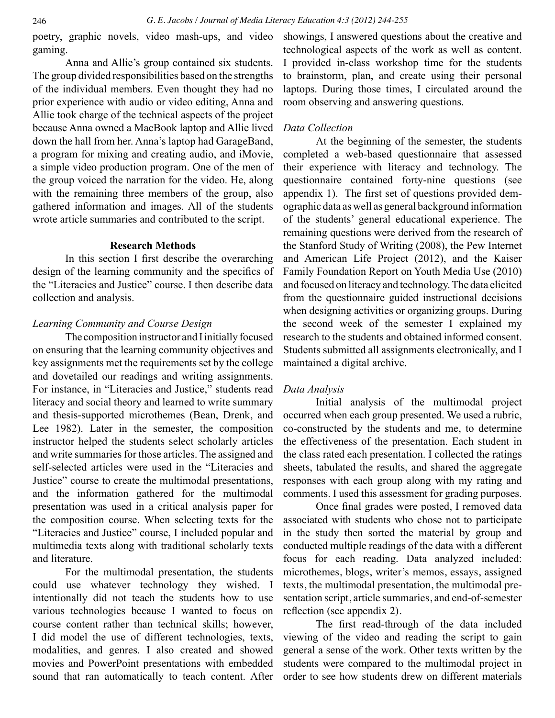gaming.

Anna and Allie's group contained six students. The group divided responsibilities based on the strengths of the individual members. Even thought they had no prior experience with audio or video editing, Anna and Allie took charge of the technical aspects of the project because Anna owned a MacBook laptop and Allie lived *Data Collection* down the hall from her. Anna's laptop had GarageBand, a program for mixing and creating audio, and iMovie, a simple video production program. One of the men of the group voiced the narration for the video. He, along with the remaining three members of the group, also gathered information and images. All of the students wrote article summaries and contributed to the script.

# **Research Methods**

In this section I first describe the overarching design of the learning community and the specifics of the "Literacies and Justice" course. I then describe data collection and analysis.

# *Learning Community and Course Design*

The composition instructor and I initially focused on ensuring that the learning community objectives and key assignments met the requirements set by the college and dovetailed our readings and writing assignments. For instance, in "Literacies and Justice," students read literacy and social theory and learned to write summary and thesis-supported microthemes (Bean, Drenk, and Lee 1982). Later in the semester, the composition instructor helped the students select scholarly articles and write summaries for those articles. The assigned and self-selected articles were used in the "Literacies and Justice" course to create the multimodal presentations, and the information gathered for the multimodal presentation was used in a critical analysis paper for the composition course. When selecting texts for the "Literacies and Justice" course, I included popular and multimedia texts along with traditional scholarly texts and literature.

For the multimodal presentation, the students could use whatever technology they wished. I intentionally did not teach the students how to use various technologies because I wanted to focus on course content rather than technical skills; however, I did model the use of different technologies, texts, modalities, and genres. I also created and showed movies and PowerPoint presentations with embedded sound that ran automatically to teach content. After

poetry, graphic novels, video mash-ups, and video showings, I answered questions about the creative and technological aspects of the work as well as content. I provided in-class workshop time for the students to brainstorm, plan, and create using their personal laptops. During those times, I circulated around the room observing and answering questions.

At the beginning of the semester, the students completed a web-based questionnaire that assessed their experience with literacy and technology. The questionnaire contained forty-nine questions (see appendix 1). The first set of questions provided demographic data as well as general background information of the students' general educational experience. The remaining questions were derived from the research of the Stanford Study of Writing (2008), the Pew Internet and American Life Project (2012), and the Kaiser Family Foundation Report on Youth Media Use (2010) and focused on literacy and technology. The data elicited from the questionnaire guided instructional decisions when designing activities or organizing groups. During the second week of the semester I explained my research to the students and obtained informed consent. Students submitted all assignments electronically, and I maintained a digital archive.

# *Data Analysis*

Initial analysis of the multimodal project occurred when each group presented. We used a rubric, co-constructed by the students and me, to determine the effectiveness of the presentation. Each student in the class rated each presentation. I collected the ratings sheets, tabulated the results, and shared the aggregate responses with each group along with my rating and comments. I used this assessment for grading purposes.

Once final grades were posted, I removed data associated with students who chose not to participate in the study then sorted the material by group and conducted multiple readings of the data with a different focus for each reading. Data analyzed included: microthemes, blogs, writer's memos, essays, assigned texts, the multimodal presentation, the multimodal presentation script, article summaries, and end-of-semester reflection (see appendix 2).

The first read-through of the data included viewing of the video and reading the script to gain general a sense of the work. Other texts written by the students were compared to the multimodal project in order to see how students drew on different materials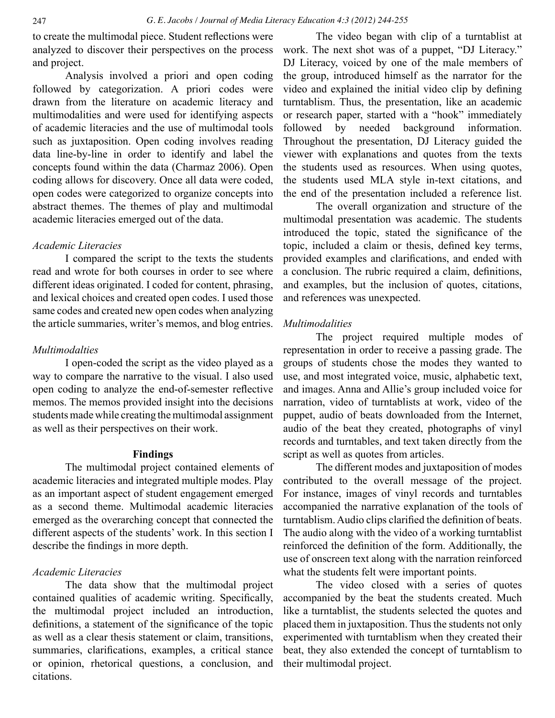to create the multimodal piece. Student reflections were analyzed to discover their perspectives on the process and project.

Analysis involved a priori and open coding followed by categorization. A priori codes were drawn from the literature on academic literacy and multimodalities and were used for identifying aspects of academic literacies and the use of multimodal tools such as juxtaposition. Open coding involves reading data line-by-line in order to identify and label the concepts found within the data (Charmaz 2006). Open coding allows for discovery. Once all data were coded, open codes were categorized to organize concepts into abstract themes. The themes of play and multimodal academic literacies emerged out of the data.

# *Academic Literacies*

I compared the script to the texts the students read and wrote for both courses in order to see where different ideas originated. I coded for content, phrasing, and lexical choices and created open codes. I used those same codes and created new open codes when analyzing the article summaries, writer's memos, and blog entries.

# *Multimodalties*

I open-coded the script as the video played as a way to compare the narrative to the visual. I also used open coding to analyze the end-of-semester reflective memos. The memos provided insight into the decisions students made while creating the multimodal assignment as well as their perspectives on their work.

#### **Findings**

The multimodal project contained elements of academic literacies and integrated multiple modes. Play as an important aspect of student engagement emerged as a second theme. Multimodal academic literacies emerged as the overarching concept that connected the different aspects of the students' work. In this section I describe the findings in more depth.

#### *Academic Literacies*

The data show that the multimodal project contained qualities of academic writing. Specifically, the multimodal project included an introduction, definitions, a statement of the significance of the topic as well as a clear thesis statement or claim, transitions, summaries, clarifications, examples, a critical stance or opinion, rhetorical questions, a conclusion, and citations.

The video began with clip of a turntablist at work. The next shot was of a puppet, "DJ Literacy." DJ Literacy, voiced by one of the male members of the group, introduced himself as the narrator for the video and explained the initial video clip by defining turntablism. Thus, the presentation, like an academic or research paper, started with a "hook" immediately followed by needed background information. Throughout the presentation, DJ Literacy guided the viewer with explanations and quotes from the texts the students used as resources. When using quotes, the students used MLA style in-text citations, and the end of the presentation included a reference list.

The overall organization and structure of the multimodal presentation was academic. The students introduced the topic, stated the significance of the topic, included a claim or thesis, defined key terms, provided examples and clarifications, and ended with a conclusion. The rubric required a claim, definitions, and examples, but the inclusion of quotes, citations, and references was unexpected.

#### *Multimodalities*

The project required multiple modes of representation in order to receive a passing grade. The groups of students chose the modes they wanted to use, and most integrated voice, music, alphabetic text, and images. Anna and Allie's group included voice for narration, video of turntablists at work, video of the puppet, audio of beats downloaded from the Internet, audio of the beat they created, photographs of vinyl records and turntables, and text taken directly from the script as well as quotes from articles.

The different modes and juxtaposition of modes contributed to the overall message of the project. For instance, images of vinyl records and turntables accompanied the narrative explanation of the tools of turntablism. Audio clips clarified the definition of beats. The audio along with the video of a working turntablist reinforced the definition of the form. Additionally, the use of onscreen text along with the narration reinforced what the students felt were important points.

The video closed with a series of quotes accompanied by the beat the students created. Much like a turntablist, the students selected the quotes and placed them in juxtaposition. Thus the students not only experimented with turntablism when they created their beat, they also extended the concept of turntablism to their multimodal project.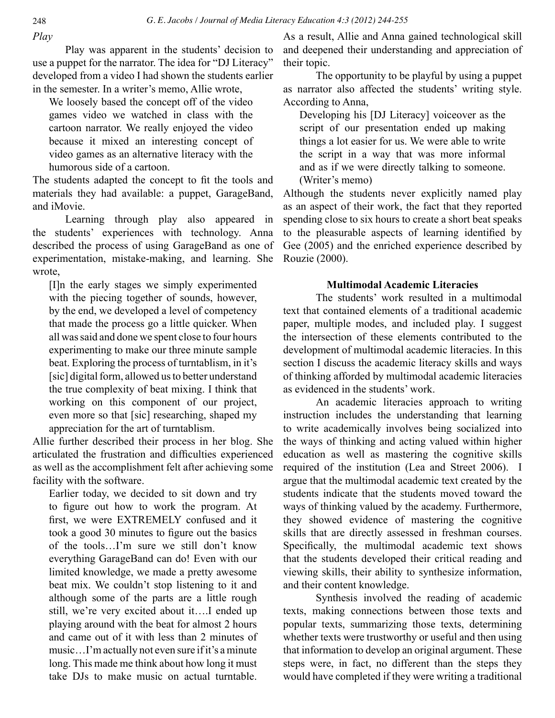*Play*

Play was apparent in the students' decision to use a puppet for the narrator. The idea for "DJ Literacy" developed from a video I had shown the students earlier in the semester. In a writer's memo, Allie wrote,

We loosely based the concept off of the video games video we watched in class with the cartoon narrator. We really enjoyed the video because it mixed an interesting concept of video games as an alternative literacy with the humorous side of a cartoon.

The students adapted the concept to fit the tools and materials they had available: a puppet, GarageBand, and iMovie.

Learning through play also appeared in the students' experiences with technology. Anna described the process of using GarageBand as one of experimentation, mistake-making, and learning. She wrote,

[I]n the early stages we simply experimented with the piecing together of sounds, however, by the end, we developed a level of competency that made the process go a little quicker. When all was said and done we spent close to four hours experimenting to make our three minute sample beat. Exploring the process of turntablism, in it's [sic] digital form, allowed us to better understand the true complexity of beat mixing. I think that working on this component of our project, even more so that [sic] researching, shaped my appreciation for the art of turntablism.

Allie further described their process in her blog. She articulated the frustration and difficulties experienced as well as the accomplishment felt after achieving some facility with the software.

Earlier today, we decided to sit down and try to figure out how to work the program. At first, we were EXTREMELY confused and it took a good 30 minutes to figure out the basics of the tools…I'm sure we still don't know everything GarageBand can do! Even with our limited knowledge, we made a pretty awesome beat mix. We couldn't stop listening to it and although some of the parts are a little rough still, we're very excited about it….I ended up playing around with the beat for almost 2 hours and came out of it with less than 2 minutes of music…I'm actually not even sure if it's a minute long. This made me think about how long it must take DJs to make music on actual turntable.

As a result, Allie and Anna gained technological skill and deepened their understanding and appreciation of their topic.

The opportunity to be playful by using a puppet as narrator also affected the students' writing style. According to Anna,

Developing his [DJ Literacy] voiceover as the script of our presentation ended up making things a lot easier for us. We were able to write the script in a way that was more informal and as if we were directly talking to someone. (Writer's memo)

Although the students never explicitly named play as an aspect of their work, the fact that they reported spending close to six hours to create a short beat speaks to the pleasurable aspects of learning identified by Gee (2005) and the enriched experience described by Rouzie (2000).

# **Multimodal Academic Literacies**

The students' work resulted in a multimodal text that contained elements of a traditional academic paper, multiple modes, and included play. I suggest the intersection of these elements contributed to the development of multimodal academic literacies. In this section I discuss the academic literacy skills and ways of thinking afforded by multimodal academic literacies as evidenced in the students' work.

An academic literacies approach to writing instruction includes the understanding that learning to write academically involves being socialized into the ways of thinking and acting valued within higher education as well as mastering the cognitive skills required of the institution (Lea and Street 2006). I argue that the multimodal academic text created by the students indicate that the students moved toward the ways of thinking valued by the academy. Furthermore, they showed evidence of mastering the cognitive skills that are directly assessed in freshman courses. Specifically, the multimodal academic text shows that the students developed their critical reading and viewing skills, their ability to synthesize information, and their content knowledge.

Synthesis involved the reading of academic texts, making connections between those texts and popular texts, summarizing those texts, determining whether texts were trustworthy or useful and then using that information to develop an original argument. These steps were, in fact, no different than the steps they would have completed if they were writing a traditional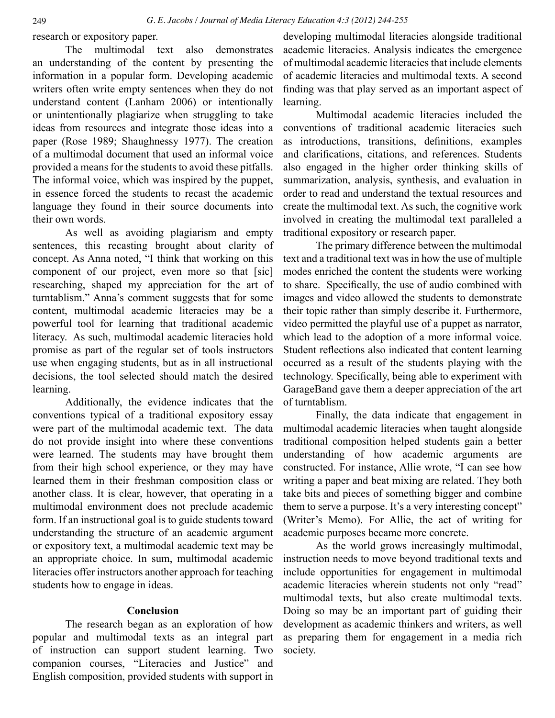research or expository paper.

The multimodal text also demonstrates an understanding of the content by presenting the information in a popular form. Developing academic writers often write empty sentences when they do not understand content (Lanham 2006) or intentionally or unintentionally plagiarize when struggling to take ideas from resources and integrate those ideas into a paper (Rose 1989; Shaughnessy 1977). The creation of a multimodal document that used an informal voice provided a means for the students to avoid these pitfalls. The informal voice, which was inspired by the puppet, in essence forced the students to recast the academic language they found in their source documents into their own words.

As well as avoiding plagiarism and empty sentences, this recasting brought about clarity of concept. As Anna noted, "I think that working on this component of our project, even more so that [sic] researching, shaped my appreciation for the art of turntablism." Anna's comment suggests that for some content, multimodal academic literacies may be a powerful tool for learning that traditional academic literacy. As such, multimodal academic literacies hold promise as part of the regular set of tools instructors use when engaging students, but as in all instructional decisions, the tool selected should match the desired learning.

Additionally, the evidence indicates that the conventions typical of a traditional expository essay were part of the multimodal academic text. The data do not provide insight into where these conventions were learned. The students may have brought them from their high school experience, or they may have learned them in their freshman composition class or another class. It is clear, however, that operating in a multimodal environment does not preclude academic form. If an instructional goal is to guide students toward understanding the structure of an academic argument or expository text, a multimodal academic text may be an appropriate choice. In sum, multimodal academic literacies offer instructors another approach for teaching students how to engage in ideas.

# **Conclusion**

The research began as an exploration of how popular and multimodal texts as an integral part of instruction can support student learning. Two companion courses, "Literacies and Justice" and English composition, provided students with support in

developing multimodal literacies alongside traditional academic literacies. Analysis indicates the emergence of multimodal academic literacies that include elements of academic literacies and multimodal texts. A second finding was that play served as an important aspect of learning.

Multimodal academic literacies included the conventions of traditional academic literacies such as introductions, transitions, definitions, examples and clarifications, citations, and references. Students also engaged in the higher order thinking skills of summarization, analysis, synthesis, and evaluation in order to read and understand the textual resources and create the multimodal text. As such, the cognitive work involved in creating the multimodal text paralleled a traditional expository or research paper.

The primary difference between the multimodal text and a traditional text was in how the use of multiple modes enriched the content the students were working to share. Specifically, the use of audio combined with images and video allowed the students to demonstrate their topic rather than simply describe it. Furthermore, video permitted the playful use of a puppet as narrator, which lead to the adoption of a more informal voice. Student reflections also indicated that content learning occurred as a result of the students playing with the technology. Specifically, being able to experiment with GarageBand gave them a deeper appreciation of the art of turntablism.

Finally, the data indicate that engagement in multimodal academic literacies when taught alongside traditional composition helped students gain a better understanding of how academic arguments are constructed. For instance, Allie wrote, "I can see how writing a paper and beat mixing are related. They both take bits and pieces of something bigger and combine them to serve a purpose. It's a very interesting concept" (Writer's Memo). For Allie, the act of writing for academic purposes became more concrete.

As the world grows increasingly multimodal, instruction needs to move beyond traditional texts and include opportunities for engagement in multimodal academic literacies wherein students not only "read" multimodal texts, but also create multimodal texts. Doing so may be an important part of guiding their development as academic thinkers and writers, as well as preparing them for engagement in a media rich society.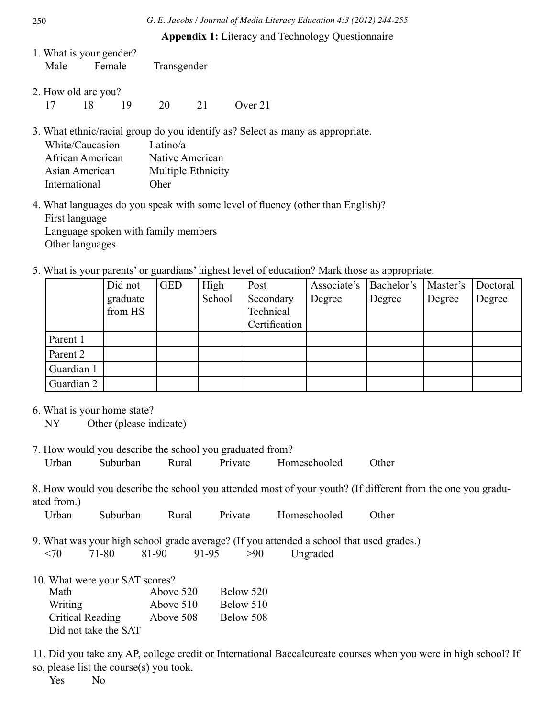**Appendix 1:** Literacy and Technology Questionnaire

| 1. What is your gender? |        |             |
|-------------------------|--------|-------------|
| Male                    | Female | Transgender |

2. How old are you? 17 18 19 20 21 Over 21

3. What ethnic/racial group do you identify as? Select as many as appropriate.

| White/Caucasion  | Latino/ $a$        |
|------------------|--------------------|
| African American | Native American    |
| Asian American   | Multiple Ethnicity |
| International    | <b>Oher</b>        |

4. What languages do you speak with some level of fluency (other than English)? First language Language spoken with family members Other languages

5. What is your parents' or guardians' highest level of education? Mark those as appropriate.

|            | Did not  | <b>GED</b> | High   | Post          | Associate's | Bachelor's | Master's | Doctoral |
|------------|----------|------------|--------|---------------|-------------|------------|----------|----------|
|            | graduate |            | School | Secondary     | Degree      | Degree     | Degree   | Degree   |
|            | from HS  |            |        | Technical     |             |            |          |          |
|            |          |            |        | Certification |             |            |          |          |
| Parent 1   |          |            |        |               |             |            |          |          |
| Parent 2   |          |            |        |               |             |            |          |          |
| Guardian 1 |          |            |        |               |             |            |          |          |
| Guardian 2 |          |            |        |               |             |            |          |          |

6. What is your home state?

NY Other (please indicate)

7. How would you describe the school you graduated from? Urban Suburban Rural Private Homeschooled Other

8. How would you describe the school you attended most of your youth? (If different from the one you graduated from.)

Urban Suburban Rural Private Homeschooled Other

9. What was your high school grade average? (If you attended a school that used grades.)  $\langle 70 \rangle$  71-80 81-90 91-95  $>90$  Ungraded

| 10. What were your SAT scores? |           |           |
|--------------------------------|-----------|-----------|
| Math                           | Above 520 | Below 520 |
| Writing                        | Above 510 | Below 510 |
| <b>Critical Reading</b>        | Above 508 | Below 508 |
| Did not take the SAT           |           |           |

11. Did you take any AP, college credit or International Baccaleureate courses when you were in high school? If so, please list the course(s) you took.

Yes No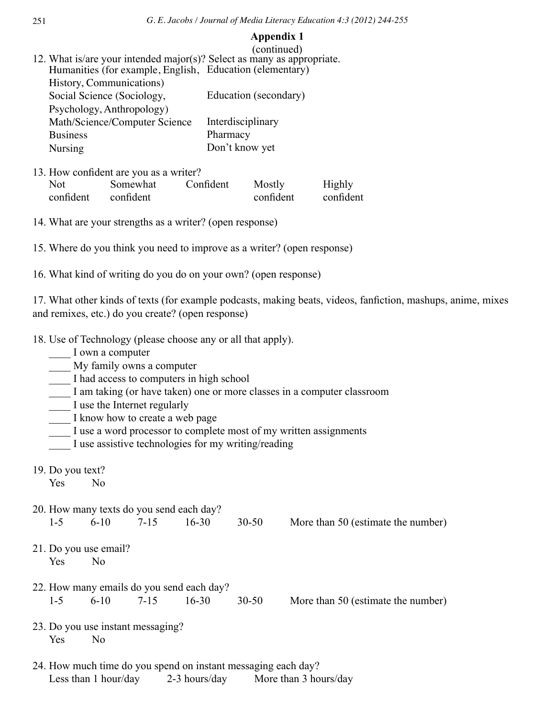#### **Appendix 1**

| (continued)<br>12. What is/are your intended major(s)? Select as many as appropriate. |                       |
|---------------------------------------------------------------------------------------|-----------------------|
| Humanities (for example, English, Education (elementary)                              |                       |
| History, Communications)                                                              |                       |
| Social Science (Sociology,                                                            | Education (secondary) |
| Psychology, Anthropology)                                                             |                       |
| Math/Science/Computer Science                                                         | Interdisciplinary     |
| <b>Business</b>                                                                       | Pharmacy              |
| <b>Nursing</b>                                                                        | Don't know yet        |
|                                                                                       |                       |

- 13. How confident are you as a writer? Not confident Somewhat confident Confident Mostly confident Highly confident
- 14. What are your strengths as a writer? (open response)
- 15. Where do you think you need to improve as a writer? (open response)
- 16. What kind of writing do you do on your own? (open response)

17. What other kinds of texts (for example podcasts, making beats, videos, fanfiction, mashups, anime, mixes and remixes, etc.) do you create? (open response)

- 18. Use of Technology (please choose any or all that apply).
	- \_\_\_\_ I own a computer
	- \_\_\_\_ My family owns a computer
	- I had access to computers in high school
	- I am taking (or have taken) one or more classes in a computer classroom
	- \_\_\_\_ I use the Internet regularly
	- I know how to create a web page
	- I use a word processor to complete most of my written assignments
	- I use assistive technologies for my writing/reading
- 19. Do you text?
	- Yes No
- 20. How many texts do you send each day? 1-5 6-10 7-15 16-30 30-50 More than 50 (estimate the number)
	-

- 21. Do you use email? Yes No
- 22. How many emails do you send each day? 1-5 6-10 7-15 16-30 30-50 More than 50 (estimate the number)

- 23. Do you use instant messaging? Yes No
- 24. How much time do you spend on instant messaging each day? Less than 1 hour/day 2-3 hours/day More than 3 hours/day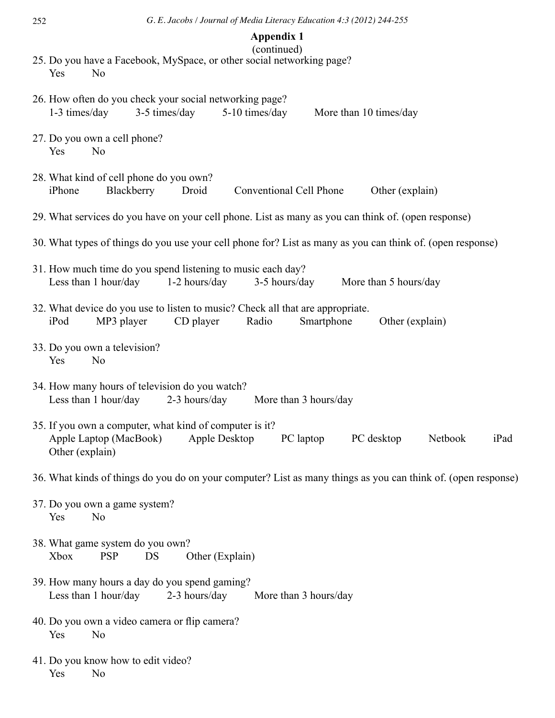| <b>Appendix 1</b><br>(continued)                                                                                                                                    |
|---------------------------------------------------------------------------------------------------------------------------------------------------------------------|
| 25. Do you have a Facebook, MySpace, or other social networking page?<br>Yes<br>N <sub>0</sub>                                                                      |
| 26. How often do you check your social networking page?<br>1-3 times/day<br>3-5 times/day<br>5-10 times/day<br>More than 10 times/day                               |
| 27. Do you own a cell phone?<br>Yes<br>N <sub>0</sub>                                                                                                               |
| 28. What kind of cell phone do you own?<br>iPhone<br>Blackberry<br>Droid<br>Conventional Cell Phone<br>Other (explain)                                              |
| 29. What services do you have on your cell phone. List as many as you can think of. (open response)                                                                 |
| 30. What types of things do you use your cell phone for? List as many as you can think of. (open response)                                                          |
| 31. How much time do you spend listening to music each day?<br>Less than 1 hour/day<br>1-2 hours/day<br>3-5 hours/day<br>More than 5 hours/day                      |
| 32. What device do you use to listen to music? Check all that are appropriate.<br>iPod<br>MP3 player<br>CD player<br>Radio<br>Smartphone<br>Other (explain)         |
| 33. Do you own a television?<br>Yes<br>N <sub>0</sub>                                                                                                               |
| 34. How many hours of television do you watch?<br>2-3 hours/day<br>Less than 1 hour/day<br>More than 3 hours/day                                                    |
| 35. If you own a computer, what kind of computer is it?<br>Apple Laptop (MacBook)<br>Apple Desktop<br>PC laptop<br>PC desktop<br>Netbook<br>iPad<br>Other (explain) |
| 36. What kinds of things do you do on your computer? List as many things as you can think of. (open response)                                                       |
| 37. Do you own a game system?<br>Yes<br>N <sub>0</sub>                                                                                                              |
| 38. What game system do you own?<br><b>PSP</b><br>Other (Explain)<br>Xbox<br>DS                                                                                     |
| 39. How many hours a day do you spend gaming?<br>Less than 1 hour/day<br>2-3 hours/day<br>More than 3 hours/day                                                     |
| 40. Do you own a video camera or flip camera?<br>Yes<br>N <sub>0</sub>                                                                                              |
| 41. Do you know how to edit video?<br>Yes<br>N <sub>0</sub>                                                                                                         |

252 *G. E. Jacobs / Journal of Media Literacy Education 4:3 (2012) 244-255*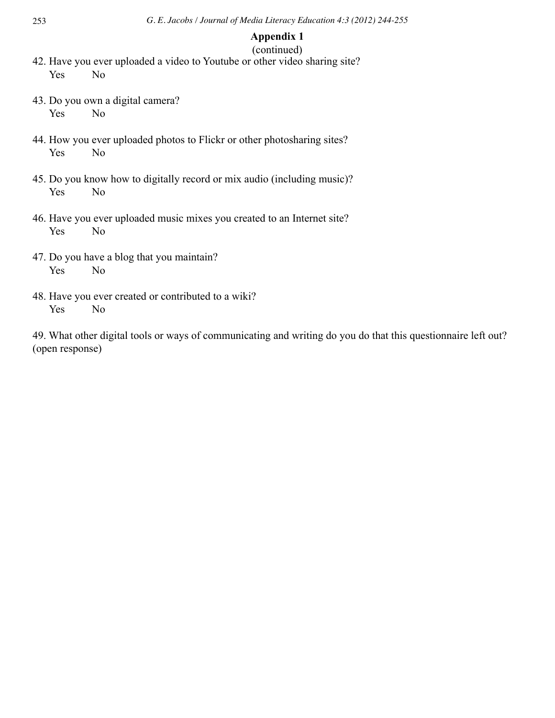# **Appendix 1**

# (continued) 42. Have you ever uploaded a video to Youtube or other video sharing site? Yes No

- 43. Do you own a digital camera? Yes No
- 44. How you ever uploaded photos to Flickr or other photosharing sites? Yes No
- 45. Do you know how to digitally record or mix audio (including music)? Yes No
- 46. Have you ever uploaded music mixes you created to an Internet site? Yes No
- 47. Do you have a blog that you maintain? Yes No
- 48. Have you ever created or contributed to a wiki? Yes No

49. What other digital tools or ways of communicating and writing do you do that this questionnaire left out? (open response)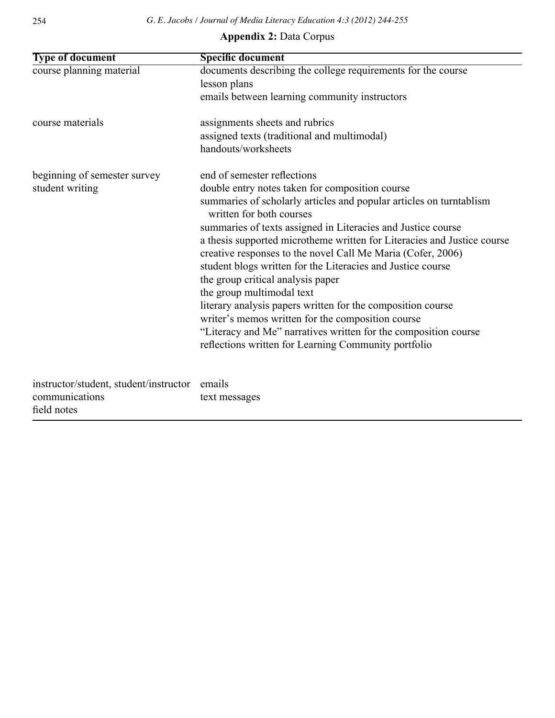# **Appendix 2:** Data Corpus

| <b>Type of document</b>                | <b>Specific document</b>                                                                        |
|----------------------------------------|-------------------------------------------------------------------------------------------------|
| course planning material               | documents describing the college requirements for the course                                    |
|                                        | lesson plans                                                                                    |
|                                        | emails between learning community instructors                                                   |
| course materials                       | assignments sheets and rubrics                                                                  |
|                                        | assigned texts (traditional and multimodal)                                                     |
|                                        | handouts/worksheets                                                                             |
| beginning of semester survey           | end of semester reflections                                                                     |
| student writing                        | double entry notes taken for composition course                                                 |
|                                        | summaries of scholarly articles and popular articles on turntablism<br>written for both courses |
|                                        | summaries of texts assigned in Literacies and Justice course                                    |
|                                        | a thesis supported microtheme written for Literacies and Justice course                         |
|                                        | creative responses to the novel Call Me Maria (Cofer, 2006)                                     |
|                                        | student blogs written for the Literacies and Justice course                                     |
|                                        | the group critical analysis paper                                                               |
|                                        | the group multimodal text                                                                       |
|                                        | literary analysis papers written for the composition course                                     |
|                                        | writer's memos written for the composition course                                               |
|                                        | "Literacy and Me" narratives written for the composition course                                 |
|                                        | reflections written for Learning Community portfolio                                            |
| instructor/student, student/instructor | emails                                                                                          |
| communications                         | text messages                                                                                   |
| field notes                            |                                                                                                 |